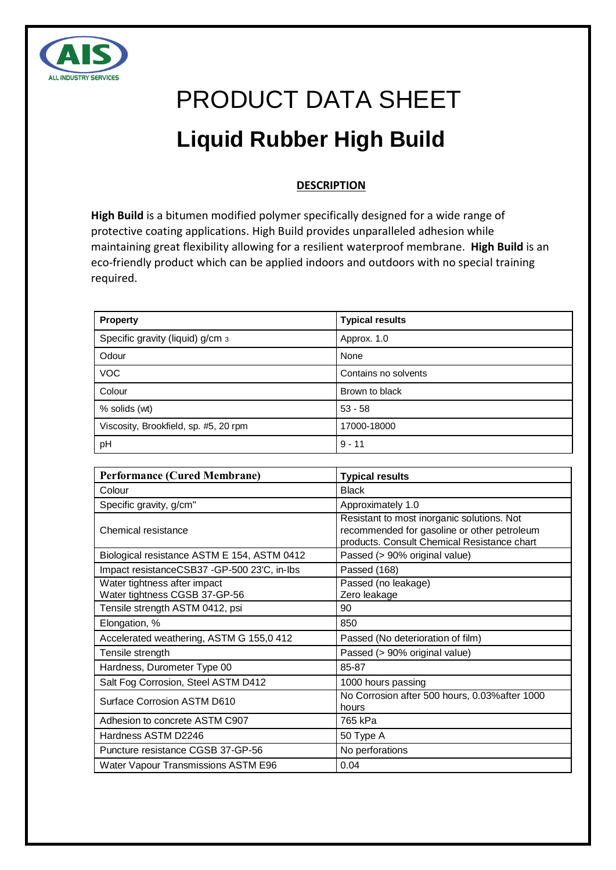

# PRODUCT DATA SHEET **Liquid Rubber High Build**

# **DESCRIPTION**

**High Build** is a bitumen modified polymer specifically designed for a wide range of protective coating applications. High Build provides unparalleled adhesion while maintaining great flexibility allowing for a resilient waterproof membrane. **High Build** is an eco-friendly product which can be applied indoors and outdoors with no special training required.

| <b>Property</b>                       | <b>Typical results</b> |
|---------------------------------------|------------------------|
| Specific gravity (liquid) g/cm 3      | Approx. 1.0            |
| Odour                                 | None                   |
| <b>VOC</b>                            | Contains no solvents   |
| Colour                                | Brown to black         |
| % solids (wt)                         | $53 - 58$              |
| Viscosity, Brookfield, sp. #5, 20 rpm | 17000-18000            |
| pH                                    | $9 - 11$               |

| <b>Performance (Cured Membrane)</b>                           | <b>Typical results</b>                                                                                                                   |
|---------------------------------------------------------------|------------------------------------------------------------------------------------------------------------------------------------------|
| Colour                                                        | <b>Black</b>                                                                                                                             |
| Specific gravity, g/cm"                                       | Approximately 1.0                                                                                                                        |
| Chemical resistance                                           | Resistant to most inorganic solutions. Not<br>recommended for gasoline or other petroleum<br>products. Consult Chemical Resistance chart |
| Biological resistance ASTM E 154, ASTM 0412                   | Passed (> 90% original value)                                                                                                            |
| Impact resistanceCSB37 -GP-500 23'C, in-Ibs                   | Passed (168)                                                                                                                             |
| Water tightness after impact<br>Water tightness CGSB 37-GP-56 | Passed (no leakage)<br>Zero leakage                                                                                                      |
| Tensile strength ASTM 0412, psi                               | 90                                                                                                                                       |
| Elongation, %                                                 | 850                                                                                                                                      |
| Accelerated weathering, ASTM G 155,0 412                      | Passed (No deterioration of film)                                                                                                        |
| Tensile strength                                              | Passed (> 90% original value)                                                                                                            |
| Hardness, Durometer Type 00                                   | 85-87                                                                                                                                    |
| Salt Fog Corrosion, Steel ASTM D412                           | 1000 hours passing                                                                                                                       |
| <b>Surface Corrosion ASTM D610</b>                            | No Corrosion after 500 hours, 0.03% after 1000<br>hours                                                                                  |
| Adhesion to concrete ASTM C907                                | 765 kPa                                                                                                                                  |
| Hardness ASTM D2246                                           | 50 Type A                                                                                                                                |
| Puncture resistance CGSB 37-GP-56                             | No perforations                                                                                                                          |
| Water Vapour Transmissions ASTM E96                           | 0.04                                                                                                                                     |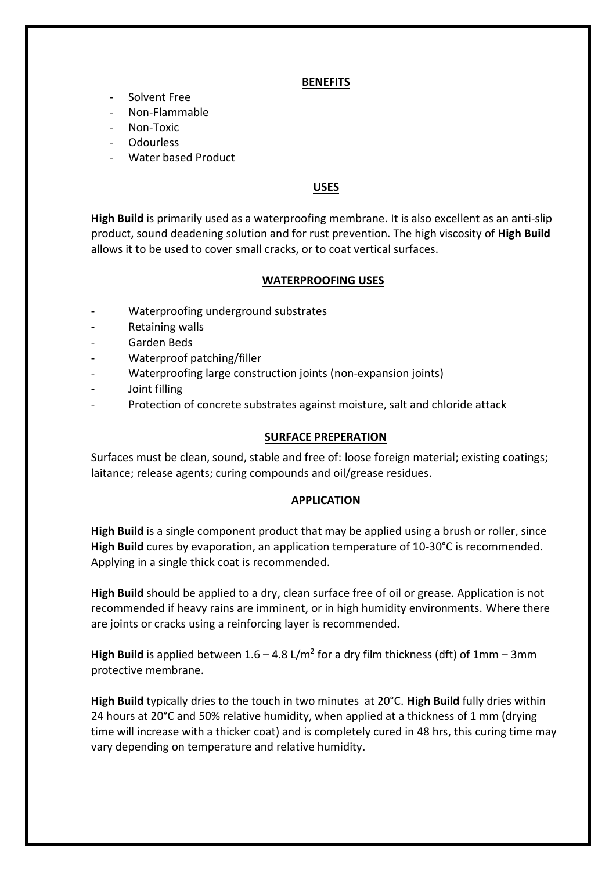#### **BENEFITS**

- Solvent Free
- Non-Flammable
- Non-Toxic
- **Odourless**
- Water based Product

# **USES**

**High Build** is primarily used as a waterproofing membrane. It is also excellent as an anti-slip product, sound deadening solution and for rust prevention. The high viscosity of **High Build** allows it to be used to cover small cracks, or to coat vertical surfaces.

## **WATERPROOFING USES**

- Waterproofing underground substrates
- Retaining walls
- Garden Beds
- Waterproof patching/filler
- Waterproofing large construction joints (non-expansion joints)
- Joint filling
- Protection of concrete substrates against moisture, salt and chloride attack

#### **SURFACE PREPERATION**

Surfaces must be clean, sound, stable and free of: loose foreign material; existing coatings; laitance; release agents; curing compounds and oil/grease residues.

#### **APPLICATION**

**High Build** is a single component product that may be applied using a brush or roller, since **High Build** cures by evaporation, an application temperature of 10-30°C is recommended. Applying in a single thick coat is recommended.

**High Build** should be applied to a dry, clean surface free of oil or grease. Application is not recommended if heavy rains are imminent, or in high humidity environments. Where there are joints or cracks using a reinforcing layer is recommended.

**High Build** is applied between  $1.6 - 4.8$  L/m<sup>2</sup> for a dry film thickness (dft) of  $1$ mm -  $3$ mm protective membrane.

**High Build** typically dries to the touch in two minutes at 20°C. **High Build** fully dries within 24 hours at 20°C and 50% relative humidity, when applied at a thickness of 1 mm (drying time will increase with a thicker coat) and is completely cured in 48 hrs, this curing time may vary depending on temperature and relative humidity.